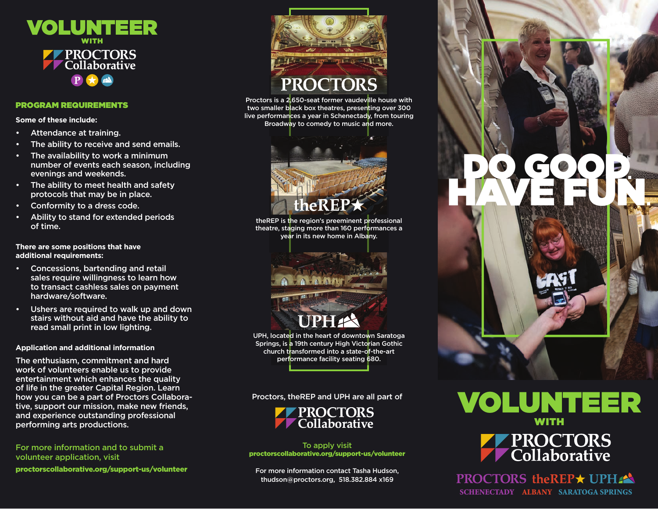

#### PROGRAM REQUIREMENTS

**Some of these include:**

- Attendance at training.
- The ability to receive and send emails.
- The availability to work a minimum number of events each season, including evenings and weekends.
- The ability to meet health and safety protocols that may be in place.
- Conformity to a dress code.
- Ability to stand for extended periods of time.

#### **There are some positions that have additional requirements:**

- Concessions, bartending and retail sales require willingness to learn how to transact cashless sales on payment hardware/software.
- Ushers are required to walk up and down stairs without aid and have the ability to read small print in low lighting.

#### **Application and additional information**

The enthusiasm, commitment and hard work of volunteers enable us to provide entertainment which enhances the quality of life in the greater Capital Region. Learn how you can be a part of Proctors Collaborative, support our mission, make new friends, and experience outstanding professional performing arts productions.

For more information and to submit a volunteer application, visit proctorscollaborative.org/support-us/volunteer



Proctors is a 2,650-seat former vaudeville house with two smaller black box theatres, presenting over 300 live performances a year in Schenectady, from touring Broadway to comedy to music and more.



theREP is the region's preeminent professional theatre, staging more than 160 performances a year in its new home in Albany.



UPH, located in the heart of downtown Saratoga Springs, is a 19th century High Victorian Gothic church transformed into a state-of-the-art performance facility seating 680.

Proctors, theREP and UPH are all part of



To apply visit proctorscollaborative.org/support-us/volunteer

For more information contact Tasha Hudson, thudson@proctors.org, 518.382.884 x169





**PROCTORS theREP★ UPHA** SCHENECTADY ALBANY SARATOGA SPRINGS